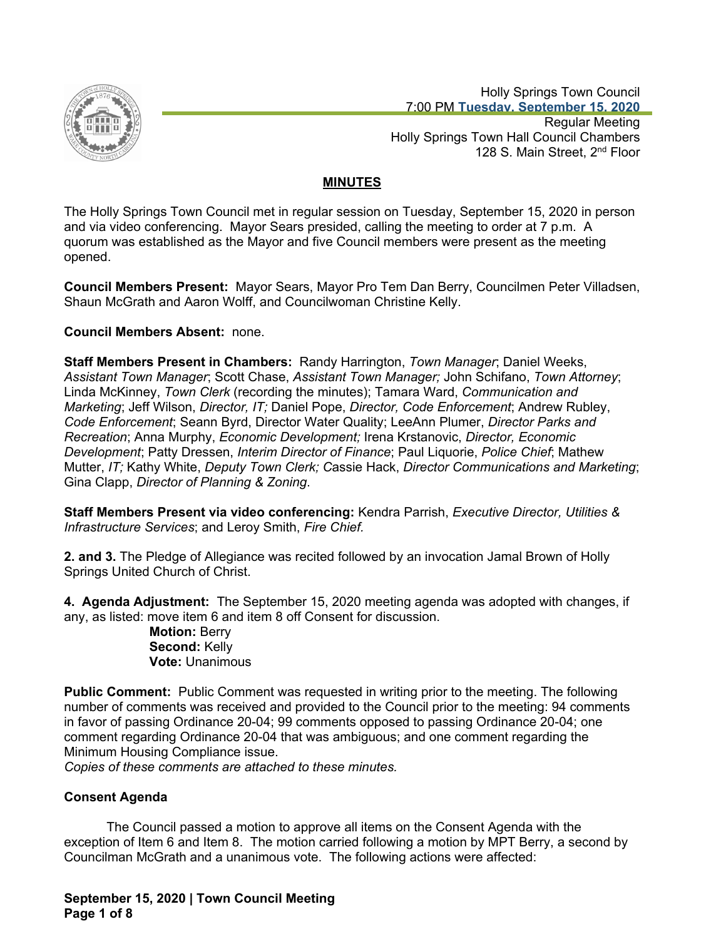

 Holly Springs Town Council 7:00 PM **Tuesday, September 15, 2020**

Regular Meeting Holly Springs Town Hall Council Chambers 128 S. Main Street, 2<sup>nd</sup> Floor

# **MINUTES**

The Holly Springs Town Council met in regular session on Tuesday, September 15, 2020 in person and via video conferencing. Mayor Sears presided, calling the meeting to order at 7 p.m. A quorum was established as the Mayor and five Council members were present as the meeting opened.

**Council Members Present:** Mayor Sears, Mayor Pro Tem Dan Berry, Councilmen Peter Villadsen, Shaun McGrath and Aaron Wolff, and Councilwoman Christine Kelly.

## **Council Members Absent:** none.

**Staff Members Present in Chambers:** Randy Harrington, *Town Manager*; Daniel Weeks, *Assistant Town Manager*; Scott Chase, *Assistant Town Manager;* John Schifano, *Town Attorney*; Linda McKinney, *Town Clerk* (recording the minutes); Tamara Ward, *Communication and Marketing*; Jeff Wilson, *Director, IT;* Daniel Pope, *Director, Code Enforcement*; Andrew Rubley, *Code Enforcement*; Seann Byrd, Director Water Quality; LeeAnn Plumer, *Director Parks and Recreation*; Anna Murphy, *Economic Development;* Irena Krstanovic, *Director, Economic Development*; Patty Dressen, *Interim Director of Finance*; Paul Liquorie, *Police Chief*; Mathew Mutter, *IT;* Kathy White, *Deputy Town Clerk; C*assie Hack, *Director Communications and Marketing*; Gina Clapp, *Director of Planning & Zoning*.

**Staff Members Present via video conferencing:** Kendra Parrish, *Executive Director, Utilities & Infrastructure Services*; and Leroy Smith, *Fire Chief.*

**2. and 3.** The Pledge of Allegiance was recited followed by an invocation Jamal Brown of Holly Springs United Church of Christ.

**4. Agenda Adjustment:** The September 15, 2020 meeting agenda was adopted with changes, if any, as listed: move item 6 and item 8 off Consent for discussion.

**Motion:** Berry **Second:** Kelly **Vote:** Unanimous

**Public Comment:** Public Comment was requested in writing prior to the meeting. The following number of comments was received and provided to the Council prior to the meeting: 94 comments in favor of passing Ordinance 20-04; 99 comments opposed to passing Ordinance 20-04; one comment regarding Ordinance 20-04 that was ambiguous; and one comment regarding the Minimum Housing Compliance issue.

*Copies of these comments are attached to these minutes.*

# **Consent Agenda**

The Council passed a motion to approve all items on the Consent Agenda with the exception of Item 6 and Item 8. The motion carried following a motion by MPT Berry, a second by Councilman McGrath and a unanimous vote. The following actions were affected:

**September 15, 2020 | Town Council Meeting Page 1 of 8**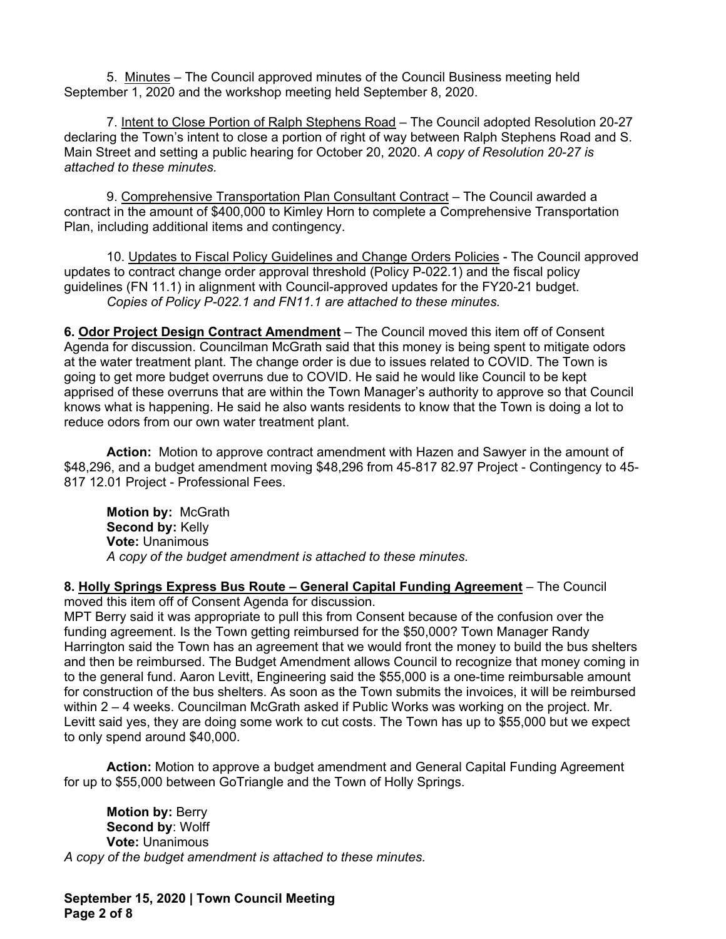5. Minutes – The Council approved minutes of the Council Business meeting held September 1, 2020 and the workshop meeting held September 8, 2020.

7. Intent to Close Portion of Ralph Stephens Road – The Council adopted Resolution 20-27 declaring the Town's intent to close a portion of right of way between Ralph Stephens Road and S. Main Street and setting a public hearing for October 20, 2020. *A copy of Resolution 20-27 is attached to these minutes.*

9. Comprehensive Transportation Plan Consultant Contract – The Council awarded a contract in the amount of \$400,000 to Kimley Horn to complete a Comprehensive Transportation Plan, including additional items and contingency.

10. Updates to Fiscal Policy Guidelines and Change Orders Policies - The Council approved updates to contract change order approval threshold (Policy P-022.1) and the fiscal policy guidelines (FN 11.1) in alignment with Council-approved updates for the FY20-21 budget. *Copies of Policy P-022.1 and FN11.1 are attached to these minutes.*

**6. Odor Project Design Contract Amendment** – The Council moved this item off of Consent Agenda for discussion. Councilman McGrath said that this money is being spent to mitigate odors at the water treatment plant. The change order is due to issues related to COVID. The Town is going to get more budget overruns due to COVID. He said he would like Council to be kept apprised of these overruns that are within the Town Manager's authority to approve so that Council knows what is happening. He said he also wants residents to know that the Town is doing a lot to reduce odors from our own water treatment plant.

**Action:** Motion to approve contract amendment with Hazen and Sawyer in the amount of \$48,296, and a budget amendment moving \$48,296 from 45-817 82.97 Project - Contingency to 45- 817 12.01 Project - Professional Fees.

**Motion by:** McGrath **Second by:** Kelly **Vote:** Unanimous *A copy of the budget amendment is attached to these minutes.*

**8. Holly Springs Express Bus Route – General Capital Funding Agreement** – The Council moved this item off of Consent Agenda for discussion.

MPT Berry said it was appropriate to pull this from Consent because of the confusion over the funding agreement. Is the Town getting reimbursed for the \$50,000? Town Manager Randy Harrington said the Town has an agreement that we would front the money to build the bus shelters and then be reimbursed. The Budget Amendment allows Council to recognize that money coming in to the general fund. Aaron Levitt, Engineering said the \$55,000 is a one-time reimbursable amount for construction of the bus shelters. As soon as the Town submits the invoices, it will be reimbursed within 2 – 4 weeks. Councilman McGrath asked if Public Works was working on the project. Mr. Levitt said yes, they are doing some work to cut costs. The Town has up to \$55,000 but we expect to only spend around \$40,000.

**Action:** Motion to approve a budget amendment and General Capital Funding Agreement for up to \$55,000 between GoTriangle and the Town of Holly Springs.

**Motion by:** Berry **Second by**: Wolff **Vote:** Unanimous *A copy of the budget amendment is attached to these minutes.*

**September 15, 2020 | Town Council Meeting Page 2 of 8**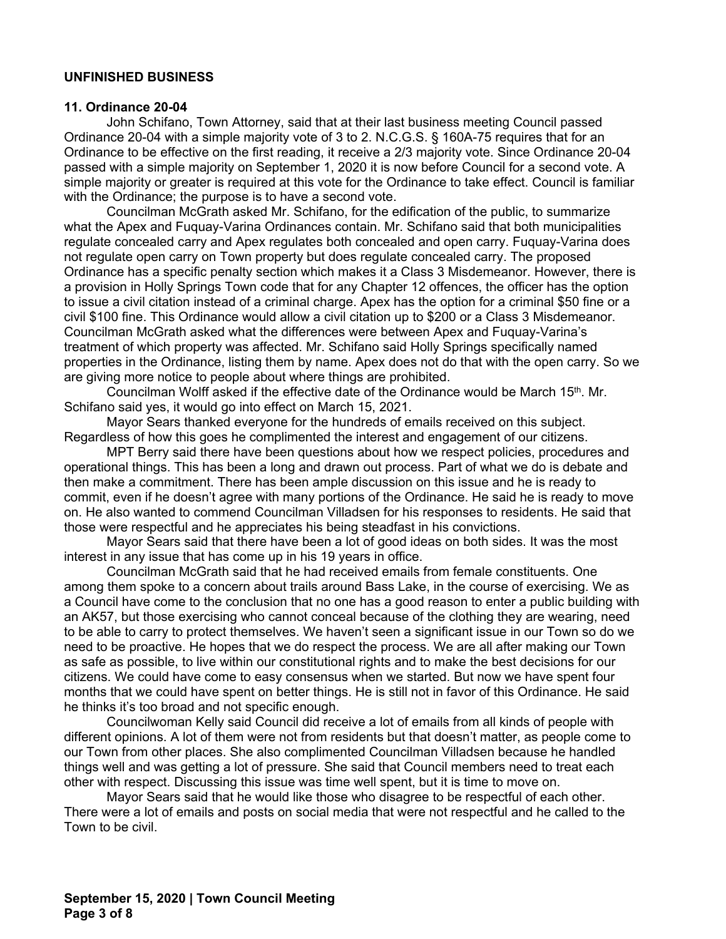#### **UNFINISHED BUSINESS**

#### **11. Ordinance 20-04**

John Schifano, Town Attorney, said that at their last business meeting Council passed Ordinance 20-04 with a simple majority vote of 3 to 2. N.C.G.S. § 160A-75 requires that for an Ordinance to be effective on the first reading, it receive a 2/3 majority vote. Since Ordinance 20-04 passed with a simple majority on September 1, 2020 it is now before Council for a second vote. A simple majority or greater is required at this vote for the Ordinance to take effect. Council is familiar with the Ordinance; the purpose is to have a second vote.

Councilman McGrath asked Mr. Schifano, for the edification of the public, to summarize what the Apex and Fuquay-Varina Ordinances contain. Mr. Schifano said that both municipalities regulate concealed carry and Apex regulates both concealed and open carry. Fuquay-Varina does not regulate open carry on Town property but does regulate concealed carry. The proposed Ordinance has a specific penalty section which makes it a Class 3 Misdemeanor. However, there is a provision in Holly Springs Town code that for any Chapter 12 offences, the officer has the option to issue a civil citation instead of a criminal charge. Apex has the option for a criminal \$50 fine or a civil \$100 fine. This Ordinance would allow a civil citation up to \$200 or a Class 3 Misdemeanor. Councilman McGrath asked what the differences were between Apex and Fuquay-Varina's treatment of which property was affected. Mr. Schifano said Holly Springs specifically named properties in the Ordinance, listing them by name. Apex does not do that with the open carry. So we are giving more notice to people about where things are prohibited.

Councilman Wolff asked if the effective date of the Ordinance would be March 15<sup>th</sup>. Mr. Schifano said yes, it would go into effect on March 15, 2021.

Mayor Sears thanked everyone for the hundreds of emails received on this subject. Regardless of how this goes he complimented the interest and engagement of our citizens.

MPT Berry said there have been questions about how we respect policies, procedures and operational things. This has been a long and drawn out process. Part of what we do is debate and then make a commitment. There has been ample discussion on this issue and he is ready to commit, even if he doesn't agree with many portions of the Ordinance. He said he is ready to move on. He also wanted to commend Councilman Villadsen for his responses to residents. He said that those were respectful and he appreciates his being steadfast in his convictions.

Mayor Sears said that there have been a lot of good ideas on both sides. It was the most interest in any issue that has come up in his 19 years in office.

Councilman McGrath said that he had received emails from female constituents. One among them spoke to a concern about trails around Bass Lake, in the course of exercising. We as a Council have come to the conclusion that no one has a good reason to enter a public building with an AK57, but those exercising who cannot conceal because of the clothing they are wearing, need to be able to carry to protect themselves. We haven't seen a significant issue in our Town so do we need to be proactive. He hopes that we do respect the process. We are all after making our Town as safe as possible, to live within our constitutional rights and to make the best decisions for our citizens. We could have come to easy consensus when we started. But now we have spent four months that we could have spent on better things. He is still not in favor of this Ordinance. He said he thinks it's too broad and not specific enough.

Councilwoman Kelly said Council did receive a lot of emails from all kinds of people with different opinions. A lot of them were not from residents but that doesn't matter, as people come to our Town from other places. She also complimented Councilman Villadsen because he handled things well and was getting a lot of pressure. She said that Council members need to treat each other with respect. Discussing this issue was time well spent, but it is time to move on.

Mayor Sears said that he would like those who disagree to be respectful of each other. There were a lot of emails and posts on social media that were not respectful and he called to the Town to be civil.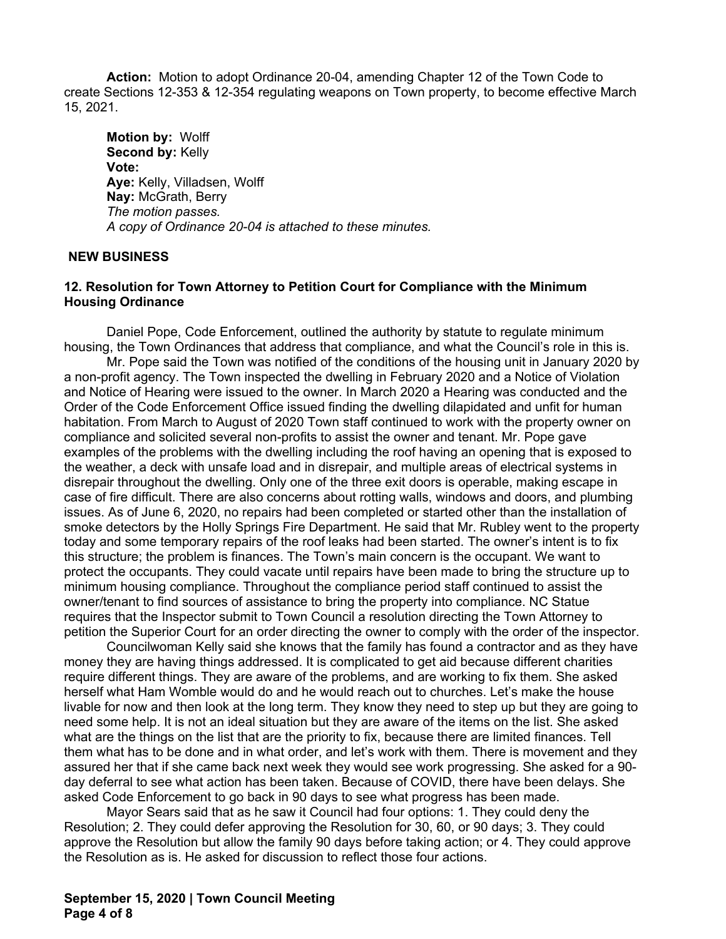**Action:** Motion to adopt Ordinance 20-04, amending Chapter 12 of the Town Code to create Sections 12-353 & 12-354 regulating weapons on Town property, to become effective March 15, 2021.

**Motion by:** Wolff **Second by:** Kelly **Vote: Aye:** Kelly, Villadsen, Wolff **Nay:** McGrath, Berry *The motion passes. A copy of Ordinance 20-04 is attached to these minutes.*

#### **NEW BUSINESS**

### **12. Resolution for Town Attorney to Petition Court for Compliance with the Minimum Housing Ordinance**

Daniel Pope, Code Enforcement, outlined the authority by statute to regulate minimum housing, the Town Ordinances that address that compliance, and what the Council's role in this is.

Mr. Pope said the Town was notified of the conditions of the housing unit in January 2020 by a non-profit agency. The Town inspected the dwelling in February 2020 and a Notice of Violation and Notice of Hearing were issued to the owner. In March 2020 a Hearing was conducted and the Order of the Code Enforcement Office issued finding the dwelling dilapidated and unfit for human habitation. From March to August of 2020 Town staff continued to work with the property owner on compliance and solicited several non-profits to assist the owner and tenant. Mr. Pope gave examples of the problems with the dwelling including the roof having an opening that is exposed to the weather, a deck with unsafe load and in disrepair, and multiple areas of electrical systems in disrepair throughout the dwelling. Only one of the three exit doors is operable, making escape in case of fire difficult. There are also concerns about rotting walls, windows and doors, and plumbing issues. As of June 6, 2020, no repairs had been completed or started other than the installation of smoke detectors by the Holly Springs Fire Department. He said that Mr. Rubley went to the property today and some temporary repairs of the roof leaks had been started. The owner's intent is to fix this structure; the problem is finances. The Town's main concern is the occupant. We want to protect the occupants. They could vacate until repairs have been made to bring the structure up to minimum housing compliance. Throughout the compliance period staff continued to assist the owner/tenant to find sources of assistance to bring the property into compliance. NC Statue requires that the Inspector submit to Town Council a resolution directing the Town Attorney to petition the Superior Court for an order directing the owner to comply with the order of the inspector.

Councilwoman Kelly said she knows that the family has found a contractor and as they have money they are having things addressed. It is complicated to get aid because different charities require different things. They are aware of the problems, and are working to fix them. She asked herself what Ham Womble would do and he would reach out to churches. Let's make the house livable for now and then look at the long term. They know they need to step up but they are going to need some help. It is not an ideal situation but they are aware of the items on the list. She asked what are the things on the list that are the priority to fix, because there are limited finances. Tell them what has to be done and in what order, and let's work with them. There is movement and they assured her that if she came back next week they would see work progressing. She asked for a 90 day deferral to see what action has been taken. Because of COVID, there have been delays. She asked Code Enforcement to go back in 90 days to see what progress has been made.

Mayor Sears said that as he saw it Council had four options: 1. They could deny the Resolution; 2. They could defer approving the Resolution for 30, 60, or 90 days; 3. They could approve the Resolution but allow the family 90 days before taking action; or 4. They could approve the Resolution as is. He asked for discussion to reflect those four actions.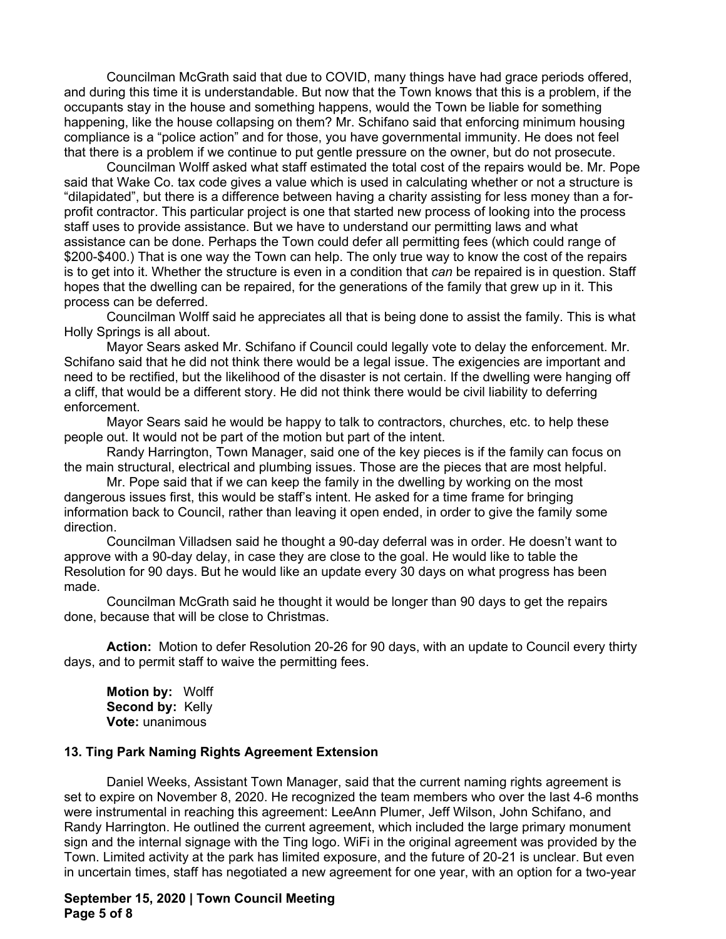Councilman McGrath said that due to COVID, many things have had grace periods offered, and during this time it is understandable. But now that the Town knows that this is a problem, if the occupants stay in the house and something happens, would the Town be liable for something happening, like the house collapsing on them? Mr. Schifano said that enforcing minimum housing compliance is a "police action" and for those, you have governmental immunity. He does not feel that there is a problem if we continue to put gentle pressure on the owner, but do not prosecute.

Councilman Wolff asked what staff estimated the total cost of the repairs would be. Mr. Pope said that Wake Co. tax code gives a value which is used in calculating whether or not a structure is "dilapidated", but there is a difference between having a charity assisting for less money than a forprofit contractor. This particular project is one that started new process of looking into the process staff uses to provide assistance. But we have to understand our permitting laws and what assistance can be done. Perhaps the Town could defer all permitting fees (which could range of \$200-\$400.) That is one way the Town can help. The only true way to know the cost of the repairs is to get into it. Whether the structure is even in a condition that *can* be repaired is in question. Staff hopes that the dwelling can be repaired, for the generations of the family that grew up in it. This process can be deferred.

Councilman Wolff said he appreciates all that is being done to assist the family. This is what Holly Springs is all about.

Mayor Sears asked Mr. Schifano if Council could legally vote to delay the enforcement. Mr. Schifano said that he did not think there would be a legal issue. The exigencies are important and need to be rectified, but the likelihood of the disaster is not certain. If the dwelling were hanging off a cliff, that would be a different story. He did not think there would be civil liability to deferring enforcement.

Mayor Sears said he would be happy to talk to contractors, churches, etc. to help these people out. It would not be part of the motion but part of the intent.

Randy Harrington, Town Manager, said one of the key pieces is if the family can focus on the main structural, electrical and plumbing issues. Those are the pieces that are most helpful.

Mr. Pope said that if we can keep the family in the dwelling by working on the most dangerous issues first, this would be staff's intent. He asked for a time frame for bringing information back to Council, rather than leaving it open ended, in order to give the family some direction.

Councilman Villadsen said he thought a 90-day deferral was in order. He doesn't want to approve with a 90-day delay, in case they are close to the goal. He would like to table the Resolution for 90 days. But he would like an update every 30 days on what progress has been made.

Councilman McGrath said he thought it would be longer than 90 days to get the repairs done, because that will be close to Christmas.

**Action:** Motion to defer Resolution 20-26 for 90 days, with an update to Council every thirty days, and to permit staff to waive the permitting fees.

**Motion by:** Wolff Second by: Kelly **Vote:** unanimous

#### **13. Ting Park Naming Rights Agreement Extension**

Daniel Weeks, Assistant Town Manager, said that the current naming rights agreement is set to expire on November 8, 2020. He recognized the team members who over the last 4-6 months were instrumental in reaching this agreement: LeeAnn Plumer, Jeff Wilson, John Schifano, and Randy Harrington. He outlined the current agreement, which included the large primary monument sign and the internal signage with the Ting logo. WiFi in the original agreement was provided by the Town. Limited activity at the park has limited exposure, and the future of 20-21 is unclear. But even in uncertain times, staff has negotiated a new agreement for one year, with an option for a two-year

### **September 15, 2020 | Town Council Meeting Page 5 of 8**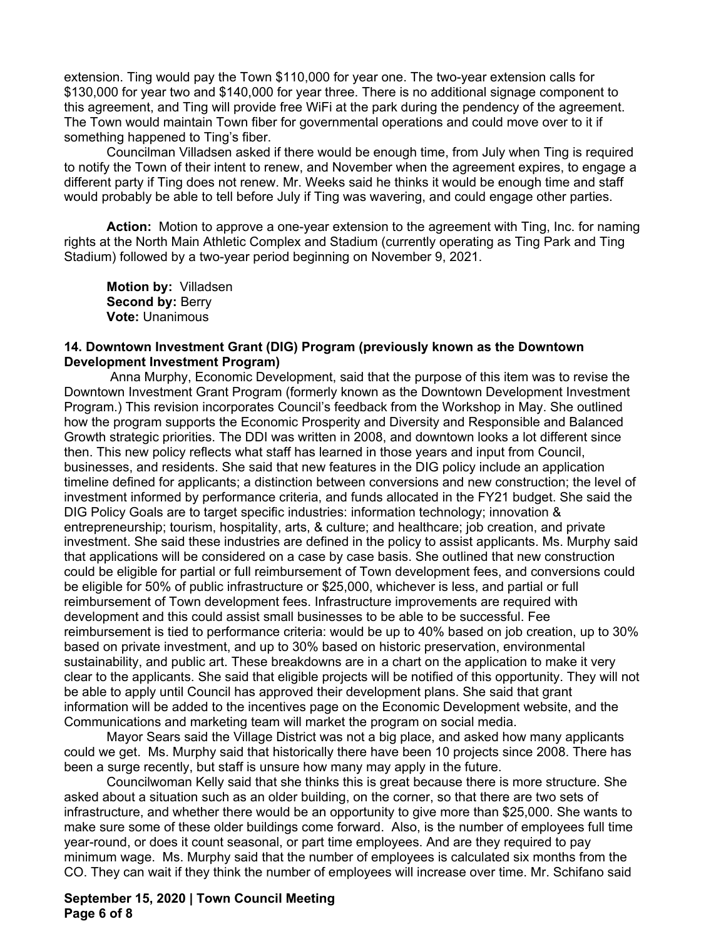extension. Ting would pay the Town \$110,000 for year one. The two-year extension calls for \$130,000 for year two and \$140,000 for year three. There is no additional signage component to this agreement, and Ting will provide free WiFi at the park during the pendency of the agreement. The Town would maintain Town fiber for governmental operations and could move over to it if something happened to Ting's fiber.

 Councilman Villadsen asked if there would be enough time, from July when Ting is required to notify the Town of their intent to renew, and November when the agreement expires, to engage a different party if Ting does not renew. Mr. Weeks said he thinks it would be enough time and staff would probably be able to tell before July if Ting was wavering, and could engage other parties.

**Action:** Motion to approve a one-year extension to the agreement with Ting, Inc. for naming rights at the North Main Athletic Complex and Stadium (currently operating as Ting Park and Ting Stadium) followed by a two-year period beginning on November 9, 2021.

**Motion by:** Villadsen **Second by:** Berry **Vote:** Unanimous

#### **14. Downtown Investment Grant (DIG) Program (previously known as the Downtown Development Investment Program)**

 Anna Murphy, Economic Development, said that the purpose of this item was to revise the Downtown Investment Grant Program (formerly known as the Downtown Development Investment Program.) This revision incorporates Council's feedback from the Workshop in May. She outlined how the program supports the Economic Prosperity and Diversity and Responsible and Balanced Growth strategic priorities. The DDI was written in 2008, and downtown looks a lot different since then. This new policy reflects what staff has learned in those years and input from Council, businesses, and residents. She said that new features in the DIG policy include an application timeline defined for applicants; a distinction between conversions and new construction; the level of investment informed by performance criteria, and funds allocated in the FY21 budget. She said the DIG Policy Goals are to target specific industries: information technology; innovation & entrepreneurship; tourism, hospitality, arts, & culture; and healthcare; job creation, and private investment. She said these industries are defined in the policy to assist applicants. Ms. Murphy said that applications will be considered on a case by case basis. She outlined that new construction could be eligible for partial or full reimbursement of Town development fees, and conversions could be eligible for 50% of public infrastructure or \$25,000, whichever is less, and partial or full reimbursement of Town development fees. Infrastructure improvements are required with development and this could assist small businesses to be able to be successful. Fee reimbursement is tied to performance criteria: would be up to 40% based on job creation, up to 30% based on private investment, and up to 30% based on historic preservation, environmental sustainability, and public art. These breakdowns are in a chart on the application to make it very clear to the applicants. She said that eligible projects will be notified of this opportunity. They will not be able to apply until Council has approved their development plans. She said that grant information will be added to the incentives page on the Economic Development website, and the Communications and marketing team will market the program on social media.

Mayor Sears said the Village District was not a big place, and asked how many applicants could we get. Ms. Murphy said that historically there have been 10 projects since 2008. There has been a surge recently, but staff is unsure how many may apply in the future.

Councilwoman Kelly said that she thinks this is great because there is more structure. She asked about a situation such as an older building, on the corner, so that there are two sets of infrastructure, and whether there would be an opportunity to give more than \$25,000. She wants to make sure some of these older buildings come forward. Also, is the number of employees full time year-round, or does it count seasonal, or part time employees. And are they required to pay minimum wage. Ms. Murphy said that the number of employees is calculated six months from the CO. They can wait if they think the number of employees will increase over time. Mr. Schifano said

### **September 15, 2020 | Town Council Meeting Page 6 of 8**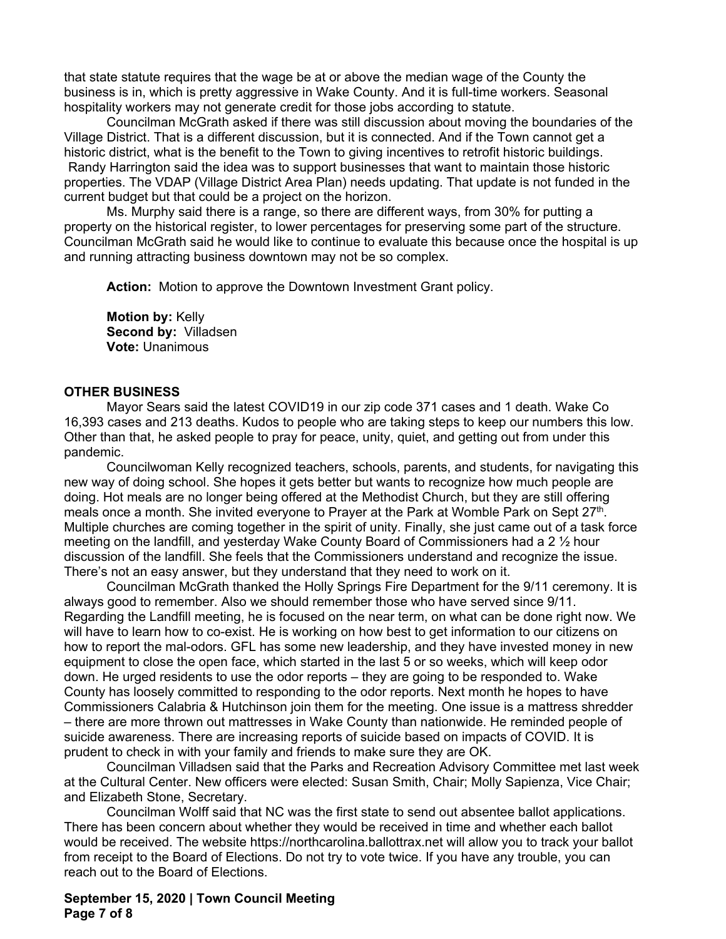that state statute requires that the wage be at or above the median wage of the County the business is in, which is pretty aggressive in Wake County. And it is full-time workers. Seasonal hospitality workers may not generate credit for those jobs according to statute.

Councilman McGrath asked if there was still discussion about moving the boundaries of the Village District. That is a different discussion, but it is connected. And if the Town cannot get a historic district, what is the benefit to the Town to giving incentives to retrofit historic buildings. Randy Harrington said the idea was to support businesses that want to maintain those historic properties. The VDAP (Village District Area Plan) needs updating. That update is not funded in the current budget but that could be a project on the horizon.

Ms. Murphy said there is a range, so there are different ways, from 30% for putting a property on the historical register, to lower percentages for preserving some part of the structure. Councilman McGrath said he would like to continue to evaluate this because once the hospital is up and running attracting business downtown may not be so complex.

**Action:** Motion to approve the Downtown Investment Grant policy.

**Motion by:** Kelly **Second by:** Villadsen **Vote:** Unanimous

#### **OTHER BUSINESS**

Mayor Sears said the latest COVID19 in our zip code 371 cases and 1 death. Wake Co 16,393 cases and 213 deaths. Kudos to people who are taking steps to keep our numbers this low. Other than that, he asked people to pray for peace, unity, quiet, and getting out from under this pandemic.

Councilwoman Kelly recognized teachers, schools, parents, and students, for navigating this new way of doing school. She hopes it gets better but wants to recognize how much people are doing. Hot meals are no longer being offered at the Methodist Church, but they are still offering meals once a month. She invited everyone to Prayer at the Park at Womble Park on Sept 27<sup>th</sup>. Multiple churches are coming together in the spirit of unity. Finally, she just came out of a task force meeting on the landfill, and yesterday Wake County Board of Commissioners had a 2  $\frac{1}{2}$  hour discussion of the landfill. She feels that the Commissioners understand and recognize the issue. There's not an easy answer, but they understand that they need to work on it.

Councilman McGrath thanked the Holly Springs Fire Department for the 9/11 ceremony. It is always good to remember. Also we should remember those who have served since 9/11. Regarding the Landfill meeting, he is focused on the near term, on what can be done right now. We will have to learn how to co-exist. He is working on how best to get information to our citizens on how to report the mal-odors. GFL has some new leadership, and they have invested money in new equipment to close the open face, which started in the last 5 or so weeks, which will keep odor down. He urged residents to use the odor reports – they are going to be responded to. Wake County has loosely committed to responding to the odor reports. Next month he hopes to have Commissioners Calabria & Hutchinson join them for the meeting. One issue is a mattress shredder – there are more thrown out mattresses in Wake County than nationwide. He reminded people of suicide awareness. There are increasing reports of suicide based on impacts of COVID. It is prudent to check in with your family and friends to make sure they are OK.

Councilman Villadsen said that the Parks and Recreation Advisory Committee met last week at the Cultural Center. New officers were elected: Susan Smith, Chair; Molly Sapienza, Vice Chair; and Elizabeth Stone, Secretary.

Councilman Wolff said that NC was the first state to send out absentee ballot applications. There has been concern about whether they would be received in time and whether each ballot would be received. The website https://northcarolina.ballottrax.net will allow you to track your ballot from receipt to the Board of Elections. Do not try to vote twice. If you have any trouble, you can reach out to the Board of Elections.

**September 15, 2020 | Town Council Meeting Page 7 of 8**